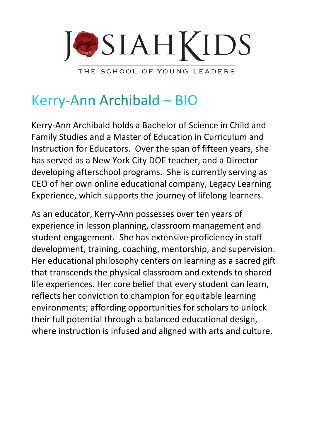

THE SCHOOL OF YOUNG LEADERS

## Kerry-Ann Archibald - BIO

Kerry-Ann Archibald holds a Bachelor of Science in Child and Family Studies and a Master of Education in Curriculum and Instruction for Educators. Over the span of fifteen years, she has served as a New York City DOE teacher, and a Director developing afterschool programs. She is currently serving as CEO of her own online educational company, Legacy Learning Experience, which supports the journey of lifelong learners.

As an educator, Kerry-Ann possesses over ten years of experience in lesson planning, classroom management and student engagement. She has extensive proficiency in staff development, training, coaching, mentorship, and supervision. Her educational philosophy centers on learning as a sacred gift that transcends the physical classroom and extends to shared life experiences. Her core belief that every student can learn, reflects her conviction to champion for equitable learning environments; affording opportunities for scholars to unlock their full potential through a balanced educational design, where instruction is infused and aligned with arts and culture.